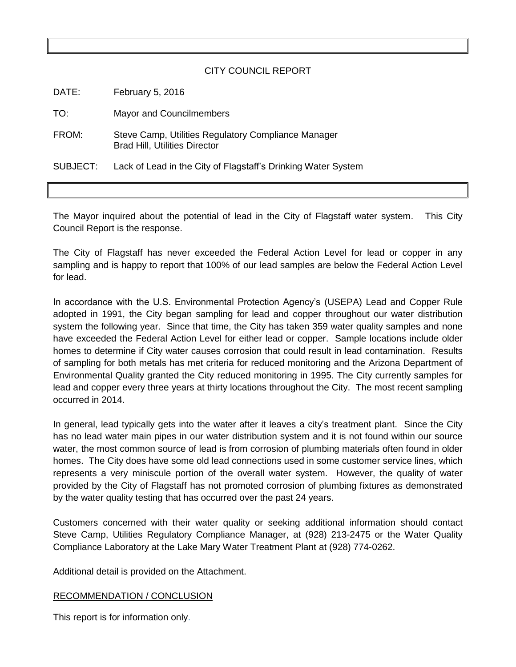## CITY COUNCIL REPORT

| DATE:    | February 5, 2016                                                                            |
|----------|---------------------------------------------------------------------------------------------|
| TO:      | Mayor and Councilmembers                                                                    |
| FROM:    | Steve Camp, Utilities Regulatory Compliance Manager<br><b>Brad Hill, Utilities Director</b> |
| SUBJECT: | Lack of Lead in the City of Flagstaff's Drinking Water System                               |

The Mayor inquired about the potential of lead in the City of Flagstaff water system. This City Council Report is the response.

The City of Flagstaff has never exceeded the Federal Action Level for lead or copper in any sampling and is happy to report that 100% of our lead samples are below the Federal Action Level for lead.

In accordance with the U.S. Environmental Protection Agency's (USEPA) Lead and Copper Rule adopted in 1991, the City began sampling for lead and copper throughout our water distribution system the following year. Since that time, the City has taken 359 water quality samples and none have exceeded the Federal Action Level for either lead or copper. Sample locations include older homes to determine if City water causes corrosion that could result in lead contamination. Results of sampling for both metals has met criteria for reduced monitoring and the Arizona Department of Environmental Quality granted the City reduced monitoring in 1995. The City currently samples for lead and copper every three years at thirty locations throughout the City. The most recent sampling occurred in 2014.

In general, lead typically gets into the water after it leaves a city's treatment plant. Since the City has no lead water main pipes in our water distribution system and it is not found within our source water, the most common source of lead is from corrosion of plumbing materials often found in older homes. The City does have some old lead connections used in some customer service lines, which represents a very miniscule portion of the overall water system. However, the quality of water provided by the City of Flagstaff has not promoted corrosion of plumbing fixtures as demonstrated by the water quality testing that has occurred over the past 24 years.

Customers concerned with their water quality or seeking additional information should contact Steve Camp, Utilities Regulatory Compliance Manager, at (928) 213-2475 or the Water Quality Compliance Laboratory at the Lake Mary Water Treatment Plant at (928) 774-0262.

Additional detail is provided on the Attachment.

## RECOMMENDATION / CONCLUSION

This report is for information only.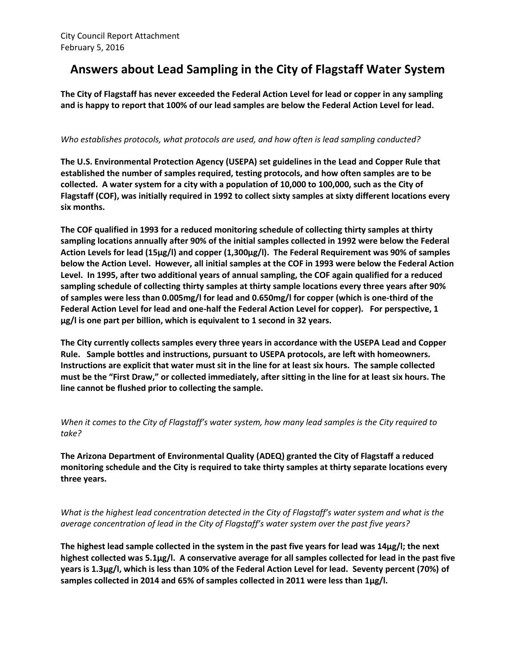# **Answers about Lead Sampling in the City of Flagstaff Water System**

**The City of Flagstaff has never exceeded the Federal Action Level for lead or copper in any sampling and is happy to report that 100% of our lead samples are below the Federal Action Level for lead.**

### *Who establishes protocols, what protocols are used, and how often is lead sampling conducted?*

**The U.S. Environmental Protection Agency (USEPA) set guidelines in the Lead and Copper Rule that established the number of samples required, testing protocols, and how often samples are to be collected. A water system for a city with a population of 10,000 to 100,000, such as the City of Flagstaff (COF), was initially required in 1992 to collect sixty samples at sixty different locations every six months.** 

**The COF qualified in 1993 for a reduced monitoring schedule of collecting thirty samples at thirty sampling locations annually after 90% of the initial samples collected in 1992 were below the Federal Action Levels for lead (15µg/l) and copper (1,300µg/l). The Federal Requirement was 90% of samples below the Action Level. However, all initial samples at the COF in 1993 were below the Federal Action Level. In 1995, after two additional years of annual sampling, the COF again qualified for a reduced sampling schedule of collecting thirty samples at thirty sample locations every three years after 90% of samples were less than 0.005mg/l for lead and 0.650mg/l for copper (which is one-third of the Federal Action Level for lead and one-half the Federal Action Level for copper). For perspective, 1 µg/l is one part per billion, which is equivalent to 1 second in 32 years.**

**The City currently collects samples every three years in accordance with the USEPA Lead and Copper Rule. Sample bottles and instructions, pursuant to USEPA protocols, are left with homeowners. Instructions are explicit that water must sit in the line for at least six hours. The sample collected must be the "First Draw," or collected immediately, after sitting in the line for at least six hours. The line cannot be flushed prior to collecting the sample.** 

*When it comes to the City of Flagstaff's water system, how many lead samples is the City required to take?* 

**The Arizona Department of Environmental Quality (ADEQ) granted the City of Flagstaff a reduced monitoring schedule and the City is required to take thirty samples at thirty separate locations every three years.** 

*What is the highest lead concentration detected in the City of Flagstaff's water system and what is the average concentration of lead in the City of Flagstaff's water system over the past five years?* 

**The highest lead sample collected in the system in the past five years for lead was 14µg/l; the next highest collected was 5.1µg/l. A conservative average for all samples collected for lead in the past five years is 1.3µg/l, which is less than 10% of the Federal Action Level for lead. Seventy percent (70%) of samples collected in 2014 and 65% of samples collected in 2011 were less than 1µg/l.**